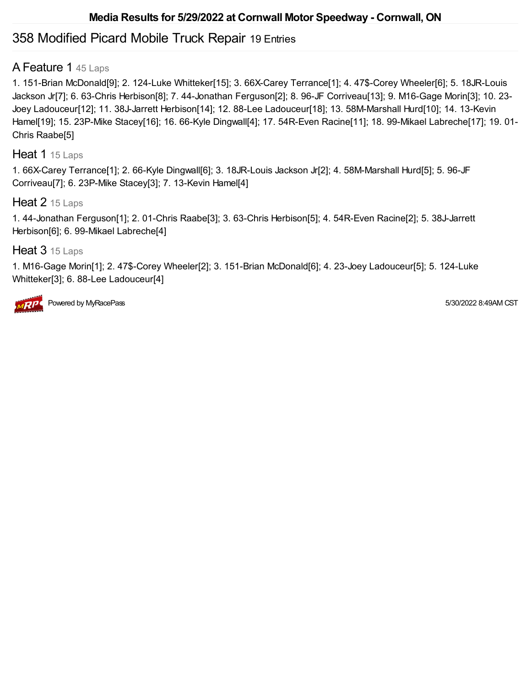# 358 Modified Picard Mobile Truck Repair 19 Entries

## A Feature 1 45 Laps

1. 151-Brian McDonald[9]; 2. 124-Luke Whitteker[15]; 3. 66X-Carey Terrance[1]; 4. 47\$-Corey Wheeler[6]; 5. 18JR-Louis Jackson Jr[7]; 6. 63-Chris Herbison[8]; 7. 44-Jonathan Ferguson[2]; 8. 96-JF Corriveau[13]; 9. M16-Gage Morin[3]; 10. 23- Joey Ladouceur[12]; 11. 38J-Jarrett Herbison[14]; 12. 88-Lee Ladouceur[18]; 13. 58M-Marshall Hurd[10]; 14. 13-Kevin Hamel[19]; 15. 23P-Mike Stacey[16]; 16. 66-Kyle Dingwall[4]; 17. 54R-Even Racine[11]; 18. 99-Mikael Labreche[17]; 19. 01- Chris Raabe[5]

#### Heat 1 15 Laps

1. 66X-Carey Terrance[1]; 2. 66-Kyle Dingwall[6]; 3. 18JR-Louis Jackson Jr[2]; 4. 58M-Marshall Hurd[5]; 5. 96-JF Corriveau[7]; 6. 23P-Mike Stacey[3]; 7. 13-Kevin Hamel[4]

### Heat 2 15 Laps

1. 44-Jonathan Ferguson[1]; 2. 01-Chris Raabe[3]; 3. 63-Chris Herbison[5]; 4. 54R-Even Racine[2]; 5. 38J-Jarrett Herbison[6]; 6. 99-Mikael Labreche[4]

### Heat 3 15 Laps

1. M16-Gage Morin[1]; 2. 47\$-Corey Wheeler[2]; 3. 151-Brian McDonald[6]; 4. 23-Joey Ladouceur[5]; 5. 124-Luke Whitteker[3]; 6. 88-Lee Ladouceur[4]



Powered by MyRacePass **Figure 2012** 8:49AM CST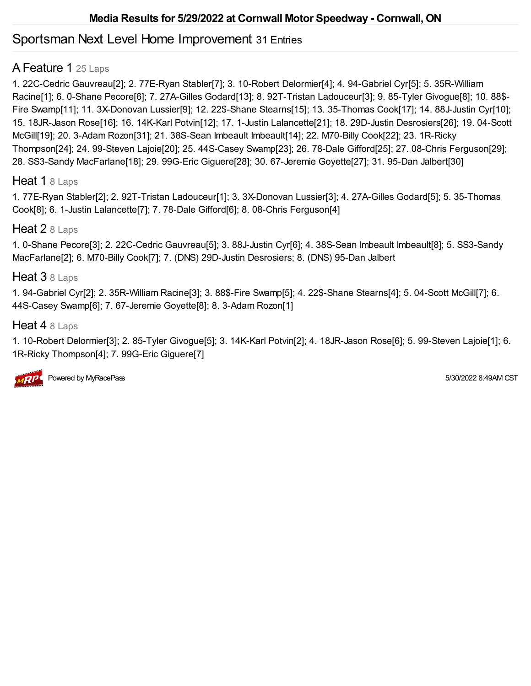# Sportsman Next Level Home Improvement 31 Entries

# A Feature 1 25 Laps

1. 22C-Cedric Gauvreau[2]; 2. 77E-Ryan Stabler[7]; 3. 10-Robert Delormier[4]; 4. 94-Gabriel Cyr[5]; 5. 35R-William Racine[1]; 6. 0-Shane Pecore[6]; 7. 27A-Gilles Godard[13]; 8. 92T-Tristan Ladouceur[3]; 9. 85-Tyler Givogue[8]; 10. 88\$- Fire Swamp[11]; 11. 3X-Donovan Lussier[9]; 12. 22\$-Shane Stearns[15]; 13. 35-Thomas Cook[17]; 14. 88J-Justin Cyr[10]; 15. 18JR-Jason Rose[16]; 16. 14K-Karl Potvin[12]; 17. 1-Justin Lalancette[21]; 18. 29D-Justin Desrosiers[26]; 19. 04-Scott McGill[19]; 20. 3-Adam Rozon[31]; 21. 38S-Sean Imbeault Imbeault[14]; 22. M70-Billy Cook[22]; 23. 1R-Ricky Thompson[24]; 24. 99-Steven Lajoie[20]; 25. 44S-Casey Swamp[23]; 26. 78-Dale Gifford[25]; 27. 08-Chris Ferguson[29]; 28. SS3-Sandy MacFarlane[18]; 29. 99G-Eric Giguere[28]; 30. 67-Jeremie Goyette[27]; 31. 95-Dan Jalbert[30]

### Heat 1 8 Laps

1. 77E-Ryan Stabler[2]; 2. 92T-Tristan Ladouceur[1]; 3. 3X-Donovan Lussier[3]; 4. 27A-Gilles Godard[5]; 5. 35-Thomas Cook[8]; 6. 1-Justin Lalancette[7]; 7. 78-Dale Gifford[6]; 8. 08-Chris Ferguson[4]

### Heat 2 8 Laps

1. 0-Shane Pecore[3]; 2. 22C-Cedric Gauvreau[5]; 3. 88J-Justin Cyr[6]; 4. 38S-Sean Imbeault Imbeault[8]; 5. SS3-Sandy MacFarlane[2]; 6. M70-Billy Cook[7]; 7. (DNS) 29D-Justin Desrosiers; 8. (DNS) 95-Dan Jalbert

## Heat 3 8 Laps

1. 94-Gabriel Cyr[2]; 2. 35R-William Racine[3]; 3. 88\$-Fire Swamp[5]; 4. 22\$-Shane Stearns[4]; 5. 04-Scott McGill[7]; 6. 44S-Casey Swamp[6]; 7. 67-Jeremie Goyette[8]; 8. 3-Adam Rozon[1]

### Heat 4 8 Laps

1. 10-Robert Delormier[3]; 2. 85-Tyler Givogue[5]; 3. 14K-Karl Potvin[2]; 4. 18JR-Jason Rose[6]; 5. 99-Steven Lajoie[1]; 6. 1R-Ricky Thompson[4]; 7. 99G-Eric Giguere[7]

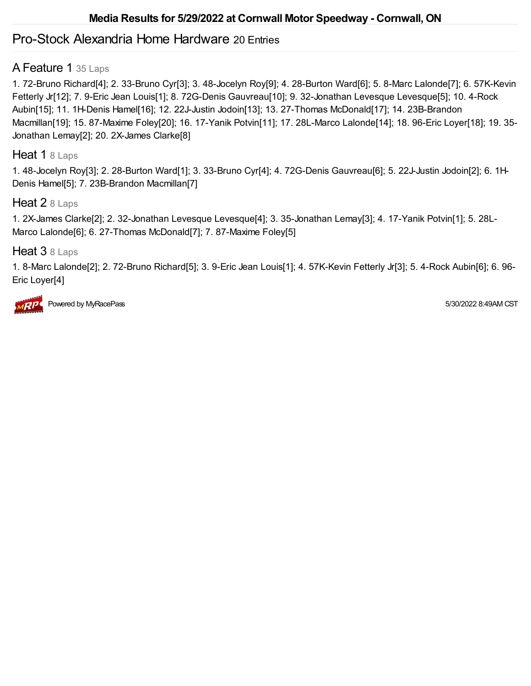# Pro-Stock Alexandria Home Hardware 20 Entries

# A Feature 1 35 Laps

1. 72-Bruno Richard[4]; 2. 33-Bruno Cyr[3]; 3. 48-Jocelyn Roy[9]; 4. 28-Burton Ward[6]; 5. 8-Marc Lalonde[7]; 6. 57K-Kevin Fetterly Jr[12]; 7. 9-Eric Jean Louis[1]; 8. 72G-Denis Gauvreau[10]; 9. 32-Jonathan Levesque Levesque[5]; 10. 4-Rock Aubin[15]; 11. 1H-Denis Hamel[16]; 12. 22J-Justin Jodoin[13]; 13. 27-Thomas McDonald[17]; 14. 23B-Brandon Macmillan[19]; 15. 87-Maxime Foley[20]; 16. 17-Yanik Potvin[11]; 17. 28L-Marco Lalonde[14]; 18. 96-Eric Loyer[18]; 19. 35- Jonathan Lemay[2]; 20. 2X-James Clarke[8]

### Heat 1 8 Laps

1. 48-Jocelyn Roy[3]; 2. 28-Burton Ward[1]; 3. 33-Bruno Cyr[4]; 4. 72G-Denis Gauvreau[6]; 5. 22J-Justin Jodoin[2]; 6. 1H-Denis Hamel[5]; 7. 23B-Brandon Macmillan[7]

### Heat 2 8 Laps

1. 2X-James Clarke[2]; 2. 32-Jonathan Levesque Levesque[4]; 3. 35-Jonathan Lemay[3]; 4. 17-Yanik Potvin[1]; 5. 28L-Marco Lalonde[6]; 6. 27-Thomas McDonald[7]; 7. 87-Maxime Foley[5]

## Heat 3 8 Laps

1. 8-Marc Lalonde[2]; 2. 72-Bruno Richard[5]; 3. 9-Eric Jean Louis[1]; 4. 57K-Kevin Fetterly Jr[3]; 5. 4-Rock Aubin[6]; 6. 96- Eric Loyer[4]



Powered by MyRacePass **Figure 2012** 8:49AM CST